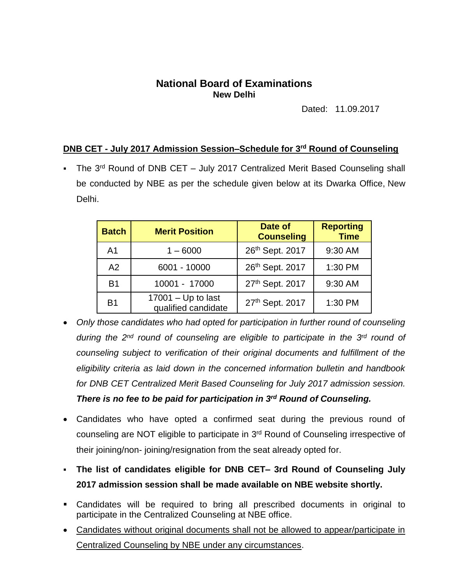## **National Board of Examinations New Delhi**

Dated: 11.09.2017

## **DNB CET - July 2017 Admission Session–Schedule for 3 rd Round of Counseling**

• The 3<sup>rd</sup> Round of DNB CET - July 2017 Centralized Merit Based Counseling shall be conducted by NBE as per the schedule given below at its Dwarka Office, New Delhi.

| <b>Batch</b>   | <b>Merit Position</b>                       | Date of<br><b>Counseling</b> | <b>Reporting</b><br><b>Time</b> |
|----------------|---------------------------------------------|------------------------------|---------------------------------|
| A <sub>1</sub> | $1 - 6000$                                  | 26th Sept. 2017              | 9:30 AM                         |
| A2             | 6001 - 10000                                | 26th Sept. 2017              | 1:30 PM                         |
| <b>B1</b>      | 10001 - 17000                               | 27th Sept. 2017              | 9:30 AM                         |
| <b>B1</b>      | $17001 - Up$ to last<br>qualified candidate | 27th Sept. 2017              | 1:30 PM                         |

- *Only those candidates who had opted for participation in further round of counseling* during the 2<sup>nd</sup> round of counseling are eligible to participate in the 3<sup>rd</sup> round of *counseling subject to verification of their original documents and fulfillment of the eligibility criteria as laid down in the concerned information bulletin and handbook for DNB CET Centralized Merit Based Counseling for July 2017 admission session. There is no fee to be paid for participation in 3 rd Round of Counseling.*
- Candidates who have opted a confirmed seat during the previous round of counseling are NOT eligible to participate in 3<sup>rd</sup> Round of Counseling irrespective of their joining/non- joining/resignation from the seat already opted for.
- **The list of candidates eligible for DNB CET– 3rd Round of Counseling July 2017 admission session shall be made available on NBE website shortly.**
- Candidates will be required to bring all prescribed documents in original to participate in the Centralized Counseling at NBE office.
- Candidates without original documents shall not be allowed to appear/participate in Centralized Counseling by NBE under any circumstances.